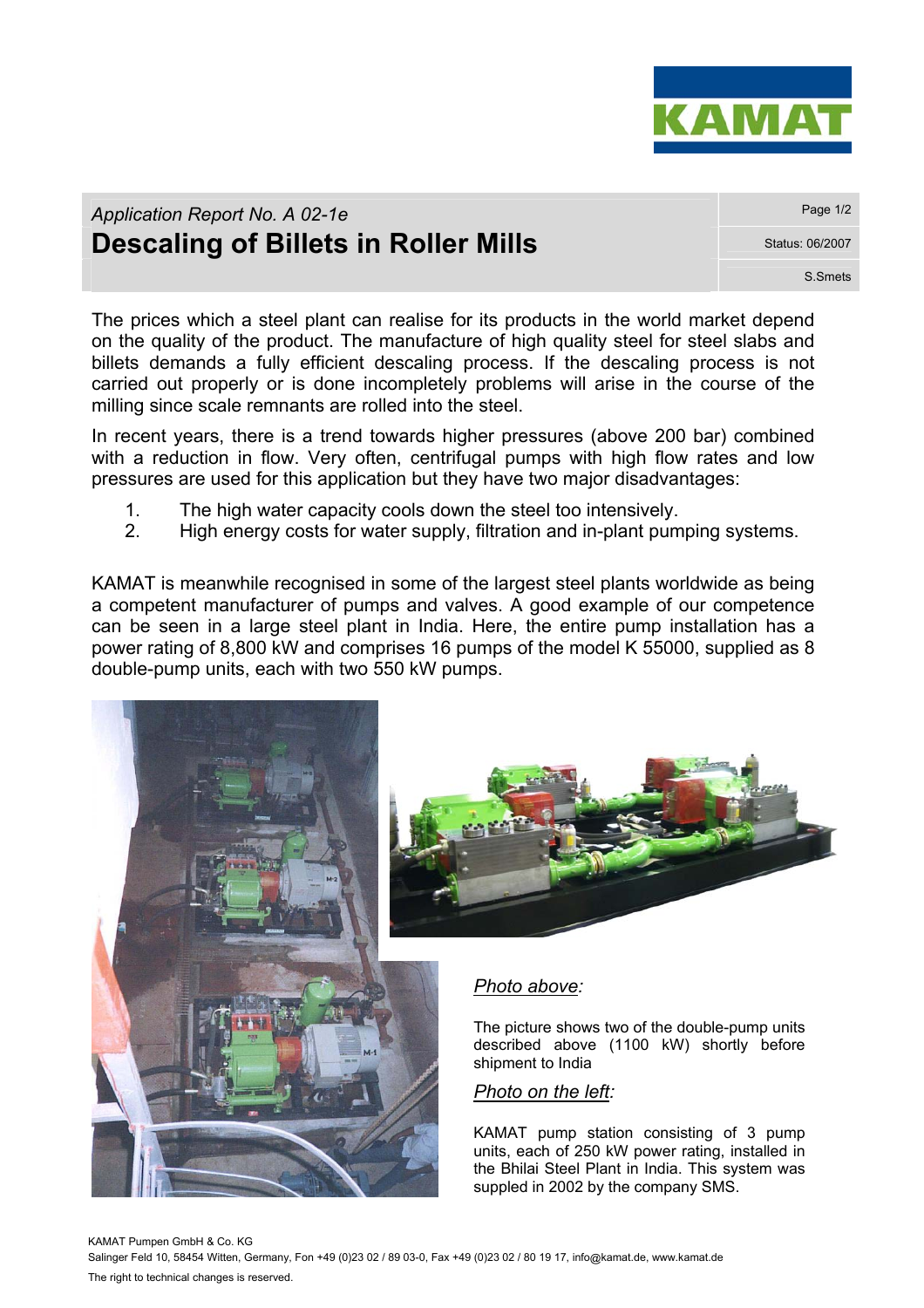

## *Application Report No. A 02-1e* **Page 1/2** *Page 1/2* **Descaling of Billets in Roller Mills** Status: 06/2007

S.Smets

The prices which a steel plant can realise for its products in the world market depend on the quality of the product. The manufacture of high quality steel for steel slabs and billets demands a fully efficient descaling process. If the descaling process is not carried out properly or is done incompletely problems will arise in the course of the milling since scale remnants are rolled into the steel.

In recent years, there is a trend towards higher pressures (above 200 bar) combined with a reduction in flow. Very often, centrifugal pumps with high flow rates and low pressures are used for this application but they have two major disadvantages:

- 1. The high water capacity cools down the steel too intensively.
- 2. High energy costs for water supply, filtration and in-plant pumping systems.

KAMAT is meanwhile recognised in some of the largest steel plants worldwide as being a competent manufacturer of pumps and valves. A good example of our competence can be seen in a large steel plant in India. Here, the entire pump installation has a power rating of 8,800 kW and comprises 16 pumps of the model K 55000, supplied as 8 double-pump units, each with two 550 kW pumps.



KAMAT Pumpen GmbH & Co. KG Salinger Feld 10, 58454 Witten, Germany, Fon +49 (0)23 02 / 89 03-0, Fax +49 (0)23 02 / 80 19 17, info@kamat.de, www.kamat.de The right to technical changes is reserved.